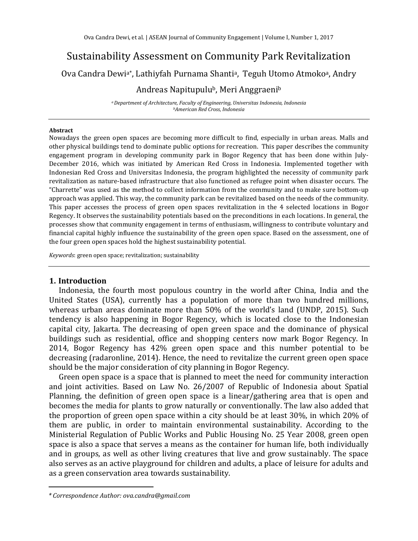# Sustainability Assessment on Community Park Revitalization

Ova Candra Dewi<sup>a\*</sup>, Lathiyfah Purnama Shanti<sup>a</sup>, Teguh Utomo Atmoko<sup>a</sup>, Andry

## Andreas Napitupulu<sup>b</sup>, Meri Anggraeni<sup>b</sup>

*<sup>a</sup>Department of Architecture, Faculty of Engineering, Universitas Indonesia, Indonesia <sup>b</sup>American Red Cross, Indonesia*

#### **Abstract**

Nowadays the green open spaces are becoming more difficult to find, especially in urban areas. Malls and other physical buildings tend to dominate public options for recreation. This paper describes the community engagement program in developing community park in Bogor Regency that has been done within July-December 2016, which was initiated by American Red Cross in Indonesia. Implemented together with Indonesian Red Cross and Universitas Indonesia, the program highlighted the necessity of community park revitalization as nature-based infrastructure that also functioned as refugee point when disaster occurs. The "Charrette" was used as the method to collect information from the community and to make sure bottom-up approach was applied. This way, the community park can be revitalized based on the needs of the community. This paper accesses the process of green open spaces revitalization in the 4 selected locations in Bogor Regency. It observes the sustainability potentials based on the preconditions in each locations. In general, the processes show that community engagement in terms of enthusiasm, willingness to contribute voluntary and financial capital highly influence the sustainability of the green open space. Based on the assessment, one of the four green open spaces hold the highest sustainability potential.

*Keywords*: green open space; revitalization; sustainability

### **1. Introduction**

Indonesia, the fourth most populous country in the world after China, India and the United States (USA), currently has a population of more than two hundred millions, whereas urban areas dominate more than 50% of the world's land (UNDP, 2015). Such tendency is also happening in Bogor Regency, which is located close to the Indonesian capital city, Jakarta. The decreasing of open green space and the dominance of physical buildings such as residential, office and shopping centers now mark Bogor Regency. In 2014, Bogor Regency has 42% green open space and this number potential to be decreasing (radaronline, 2014). Hence, the need to revitalize the current green open space should be the major consideration of city planning in Bogor Regency.

Green open space is a space that is planned to meet the need for community interaction and joint activities. Based on Law No. 26/2007 of Republic of Indonesia about Spatial Planning, the definition of green open space is a linear/gathering area that is open and becomes the media for plants to grow naturally or conventionally. The law also added that the proportion of green open space within a city should be at least 30%, in which 20% of them are public, in order to maintain environmental sustainability. According to the Ministerial Regulation of Public Works and Public Housing No. 25 Year 2008, green open space is also a space that serves a means as the container for human life, both individually and in groups, as well as other living creatures that live and grow sustainably. The space also serves as an active playground for children and adults, a place of leisure for adults and as a green conservation area towards sustainability.

*<sup>\*</sup> Correspondence Author: ova.candra@gmail.com*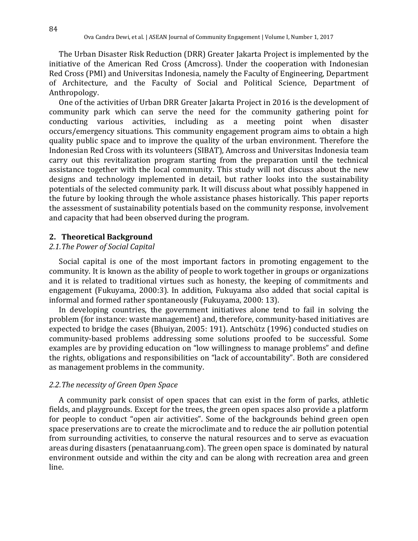The Urban Disaster Risk Reduction (DRR) Greater Jakarta Project is implemented by the initiative of the American Red Cross (Amcross). Under the cooperation with Indonesian Red Cross (PMI) and Universitas Indonesia, namely the Faculty of Engineering, Department of Architecture, and the Faculty of Social and Political Science, Department of Anthropology.

One of the activities of Urban DRR Greater Jakarta Project in 2016 is the development of community park which can serve the need for the community gathering point for conducting various activities, including as a meeting point when disaster occurs/emergency situations. This community engagement program aims to obtain a high quality public space and to improve the quality of the urban environment. Therefore the Indonesian Red Cross with its volunteers (SIBAT), Amcross and Universitas Indonesia team carry out this revitalization program starting from the preparation until the technical assistance together with the local community. This study will not discuss about the new designs and technology implemented in detail, but rather looks into the sustainability potentials of the selected community park. It will discuss about what possibly happened in the future by looking through the whole assistance phases historically. This paper reports the assessment of sustainability potentials based on the community response, involvement and capacity that had been observed during the program.

#### **2. Theoretical Background**

### *2.1.The Power of Social Capital*

Social capital is one of the most important factors in promoting engagement to the community. It is known as the ability of people to work together in groups or organizations and it is related to traditional virtues such as honesty, the keeping of commitments and engagement (Fukuyama, 2000:3). In addition, Fukuyama also added that social capital is informal and formed rather spontaneously (Fukuyama, 2000: 13).

In developing countries, the government initiatives alone tend to fail in solving the problem (for instance: waste management) and, therefore, community-based initiatives are expected to bridge the cases (Bhuiyan, 2005: 191). Antschütz (1996) conducted studies on community-based problems addressing some solutions proofed to be successful. Some examples are by providing education on "low willingness to manage problems" and define the rights, obligations and responsibilities on "lack of accountability". Both are considered as management problems in the community.

#### *2.2.The necessity of Green Open Space*

A community park consist of open spaces that can exist in the form of parks, athletic fields, and playgrounds. Except for the trees, the green open spaces also provide a platform for people to conduct "open air activities". Some of the backgrounds behind green open space preservations are to create the microclimate and to reduce the air pollution potential from surrounding activities, to conserve the natural resources and to serve as evacuation areas during disasters (penataanruang.com). The green open space is dominated by natural environment outside and within the city and can be along with recreation area and green line.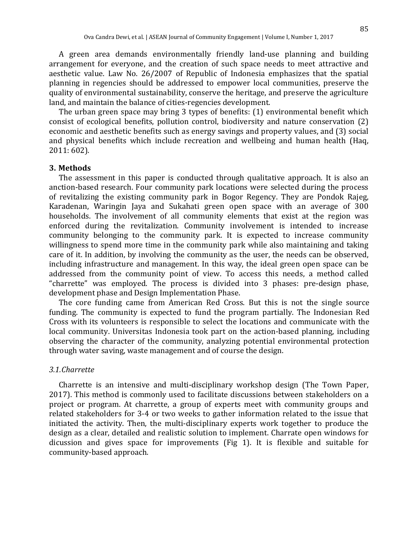A green area demands environmentally friendly land-use planning and building arrangement for everyone, and the creation of such space needs to meet attractive and aesthetic value. Law No. 26/2007 of Republic of Indonesia emphasizes that the spatial planning in regencies should be addressed to empower local communities, preserve the quality of environmental sustainability, conserve the heritage, and preserve the agriculture land, and maintain the balance of cities-regencies development.

The urban green space may bring 3 types of benefits: (1) environmental benefit which consist of ecological benefits, pollution control, biodiversity and nature conservation (2) economic and aesthetic benefits such as energy savings and property values, and (3) social and physical benefits which include recreation and wellbeing and human health (Haq, 2011: 602).

#### **3. Methods**

The assessment in this paper is conducted through qualitative approach. It is also an anction-based research. Four community park locations were selected during the process of revitalizing the existing community park in Bogor Regency. They are Pondok Rajeg, Karadenan, Waringin Jaya and Sukahati green open space with an average of 300 households. The involvement of all community elements that exist at the region was enforced during the revitalization. Community involvement is intended to increase community belonging to the community park. It is expected to increase community willingness to spend more time in the community park while also maintaining and taking care of it. In addition, by involving the community as the user, the needs can be observed, including infrastructure and management. In this way, the ideal green open space can be addressed from the community point of view. To access this needs, a method called "charrette" was employed. The process is divided into 3 phases: pre-design phase, development phase and Design Implementation Phase.

The core funding came from American Red Cross. But this is not the single source funding. The community is expected to fund the program partially. The Indonesian Red Cross with its volunteers is responsible to select the locations and communicate with the local community. Universitas Indonesia took part on the action-based planning, including observing the character of the community, analyzing potential environmental protection through water saving, waste management and of course the design.

#### *3.1.Charrette*

Charrette is an intensive and multi-disciplinary workshop design (The Town Paper, 2017). This method is commonly used to facilitate discussions between stakeholders on a project or program. At charrette, a group of experts meet with community groups and related stakeholders for 3-4 or two weeks to gather information related to the issue that initiated the activity. Then, the multi-disciplinary experts work together to produce the design as a clear, detailed and realistic solution to implement. Charrate open windows for dicussion and gives space for improvements (Fig 1). It is flexible and suitable for community-based approach.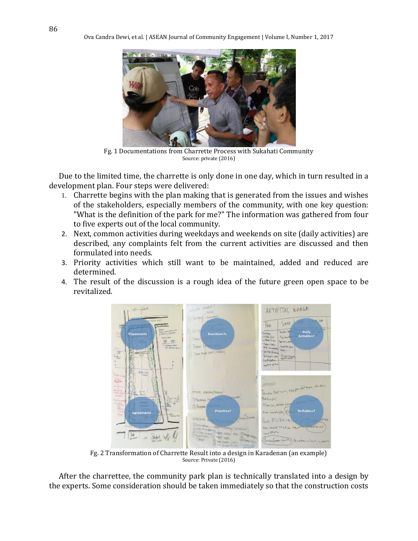

Fg. 1 Documentations from Charrette Process with Sukahati Community Source: private (2016)

Due to the limited time, the charrette is only done in one day, which in turn resulted in a development plan. Four steps were delivered:

- 1. Charrette begins with the plan making that is generated from the issues and wishes of the stakeholders, especially members of the community, with one key question: "What is the definition of the park for me?" The information was gathered from four to five experts out of the local community.
- 2. Next, common activities during weekdays and weekends on site (daily activities) are described, any complaints felt from the current activities are discussed and then formulated into needs.
- 3. Priority activities which still want to be maintained, added and reduced are determined.
- 4. The result of the discussion is a rough idea of the future green open space to be revitalized.



Fg. 2 Transformation of Charrette Result into a design in Karadenan (an example) Source: Private (2016)

After the charrettee, the community park plan is technically translated into a design by the experts. Some consideration should be taken immediately so that the construction costs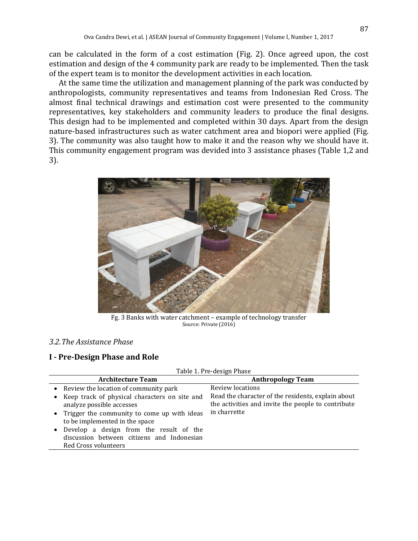can be calculated in the form of a cost estimation (Fig. 2). Once agreed upon, the cost estimation and design of the 4 community park are ready to be implemented. Then the task of the expert team is to monitor the development activities in each location.

At the same time the utilization and management planning of the park was conducted by anthropologists, community representatives and teams from Indonesian Red Cross. The almost final technical drawings and estimation cost were presented to the community representatives, key stakeholders and community leaders to produce the final designs. This design had to be implemented and completed within 30 days. Apart from the design nature-based infrastructures such as water catchment area and biopori were applied (Fig. 3). The community was also taught how to make it and the reason why we should have it. This community engagement program was devided into 3 assistance phases (Table 1,2 and 3).



Fg. 3 Banks with water catchment – example of technology transfer Source: Private (2016)

### *3.2.The Assistance Phase*

### **I - Pre-Design Phase and Role**

|                                                                                                                 | Table 1. Pre-design Phase                                                                                |
|-----------------------------------------------------------------------------------------------------------------|----------------------------------------------------------------------------------------------------------|
| <b>Architecture Team</b>                                                                                        | <b>Anthropology Team</b>                                                                                 |
| • Review the location of community park                                                                         | Review locations                                                                                         |
| • Keep track of physical characters on site and<br>analyze possible accesses                                    | Read the character of the residents, explain about<br>the activities and invite the people to contribute |
| • Trigger the community to come up with ideas<br>to be implemented in the space                                 | in charrette                                                                                             |
| • Develop a design from the result of the<br>discussion between citizens and Indonesian<br>Red Cross volunteers |                                                                                                          |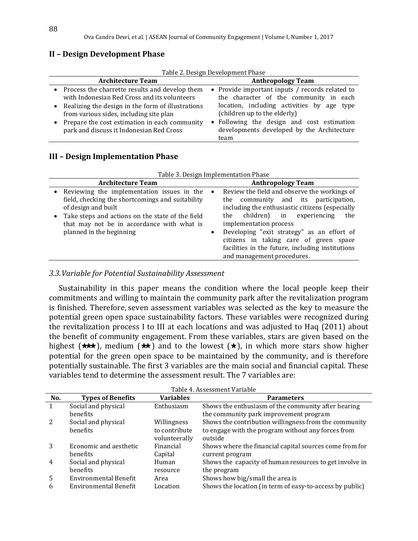### **II – Design Development Phase**

| Table 2. Design Development Phase |  |  |
|-----------------------------------|--|--|
|                                   |  |  |

| <b>Architecture Team</b>                                                                                                                                                                         | <b>Anthropology Team</b>                                                                                                                                                |
|--------------------------------------------------------------------------------------------------------------------------------------------------------------------------------------------------|-------------------------------------------------------------------------------------------------------------------------------------------------------------------------|
| • Process the charrette results and develop them<br>with Indonesian Red Cross and its volunteers<br>Realizing the design in the form of illustrations<br>from various sides, including site plan | • Provide important inputs / records related to<br>the character of the community in each<br>location, including activities by age type<br>(children up to the elderly) |
| • Prepare the cost estimation in each community<br>park and discuss it Indonesian Red Cross                                                                                                      | • Following the design and cost estimation<br>developments developed by the Architecture<br>team                                                                        |

### **III – Design Implementation Phase**

|                                                                                                                                                                                                                                        | Table 3. Design Implementation Phase                                                                                                                                                                                               |
|----------------------------------------------------------------------------------------------------------------------------------------------------------------------------------------------------------------------------------------|------------------------------------------------------------------------------------------------------------------------------------------------------------------------------------------------------------------------------------|
| <b>Architecture Team</b>                                                                                                                                                                                                               | <b>Anthropology Team</b>                                                                                                                                                                                                           |
| Reviewing the implementation issues in the<br>$\bullet$<br>field, checking the shortcomings and suitability<br>of design and built<br>• Take steps and actions on the state of the field<br>that may not be in accordance with what is | Review the field and observe the workings of<br>$\bullet$<br>community and its participation,<br>the<br>including the enthusiastic citizens (especially<br>children)<br>experiencing<br>in<br>the<br>the<br>implementation process |
| planned in the beginning                                                                                                                                                                                                               | Developing "exit strategy" as an effort of<br>$\bullet$<br>citizens in taking care of green space<br>facilities in the future, including institutions<br>and management procedures.                                                |

### *3.3.Variable for Potential Sustainability Assessment*

Sustainability in this paper means the condition where the local people keep their commitments and willing to maintain the community park after the revitalization program is finished. Therefore, seven assessment variables was selected as the key to measure the potential green open space sustainability factors. These variables were recognized during the revitalization process I to III at each locations and was adjusted to Haq (2011) about the benefit of community engagement. From these variables, stars are given based on the highest ( $\star\star$ ), medium ( $\star\star$ ) and to the lowest ( $\star$ ), in which more stars show higher potential for the green open space to be maintained by the community, and is therefore potentially sustainable. The first 3 variables are the main social and financial capital. These variables tend to determine the assessment result. The 7 variables are:

|                |                                           |                                | Table 4. Assessment Variable                                               |
|----------------|-------------------------------------------|--------------------------------|----------------------------------------------------------------------------|
| No.            | <b>Types of Benefits</b>                  | <b>Variables</b>               | <b>Parameters</b>                                                          |
| $\mathbf{1}$   | Social and physical                       | Enthusiasm                     | Shows the enthusiasm of the community after hearing                        |
|                | <b>benefits</b>                           |                                | the community park improvement program                                     |
| 2              | Social and physical                       | Willingness                    | Shows the contribution willingness from the community                      |
|                | <b>benefits</b>                           | to contribute<br>volunteerally | to engage with the program without any forces from<br>outside              |
| 3              | Economic and aesthetic<br><b>benefits</b> | Financial<br>Capital           | Shows where the financial capital sources come from for<br>current program |
| $\overline{4}$ | Social and physical<br><b>benefits</b>    | Human<br>resource              | Shows the capacity of human resources to get involve in<br>the program     |
| .5             | Environmental Benefit                     | Area                           | Shows how big/small the area is                                            |
| 6              | Environmental Benefit                     | Location                       | Shows the location (in term of easy-to-access by public)                   |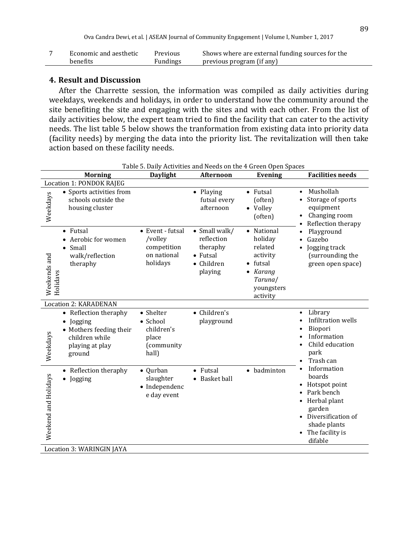| Economic and aesthetic | Previous | Shows where are external funding sources for the |
|------------------------|----------|--------------------------------------------------|
| benefits               | Fundings | previous program (if any)                        |

### **4. Result and Discussion**

After the Charrette session, the information was compiled as daily activities during weekdays, weekends and holidays, in order to understand how the community around the site benefiting the site and engaging with the sites and with each other. From the list of daily activities below, the expert team tried to find the facility that can cater to the activity needs. The list table 5 below shows the tranformation from existing data into priority data (facility needs) by merging the data into the priority list. The revitalization will then take action based on these facility needs.

|                                                                                                                                     | Table 5. Daily Activities and Needs on the 4 Green Open Spaces        |                                                                                      |                                                                                                                 |                                                                                                                                                          |
|-------------------------------------------------------------------------------------------------------------------------------------|-----------------------------------------------------------------------|--------------------------------------------------------------------------------------|-----------------------------------------------------------------------------------------------------------------|----------------------------------------------------------------------------------------------------------------------------------------------------------|
| <b>Morning</b>                                                                                                                      | <b>Daylight</b>                                                       | <b>Afternoon</b>                                                                     | <b>Evening</b>                                                                                                  | <b>Facilities needs</b>                                                                                                                                  |
| Location 1: PONDOK RAJEG                                                                                                            |                                                                       |                                                                                      |                                                                                                                 |                                                                                                                                                          |
| • Sports activities from<br>Weekdays<br>schools outside the<br>housing cluster                                                      |                                                                       | • Playing<br>futsal every<br>afternoon                                               | • Futsal<br>(often)<br>• Volley<br>(often)                                                                      | Mushollah<br>$\bullet$<br>Storage of sports<br>equipment<br>Changing room<br>Reflection therapy                                                          |
| $\bullet$ Futsal<br>Aerobic for women<br>$\bullet$<br>Small<br>$\bullet$<br>walk/reflection<br>Weekends and<br>theraphy<br>Holidavs | • Event - futsal<br>/volley<br>competition<br>on national<br>holidays | • Small walk/<br>reflection<br>theraphy<br>$\bullet$ Futsal<br>• Children<br>playing | • National<br>holiday<br>related<br>activity<br>$\bullet$ futsal<br>Karang<br>Taruna/<br>youngsters<br>activity | Playground<br>$\bullet$<br>Gazebo<br>$\bullet$<br>Jogging track<br>$\bullet$<br>(surrounding the<br>green open space)                                    |
| <b>Location 2: KARADENAN</b>                                                                                                        |                                                                       |                                                                                      |                                                                                                                 |                                                                                                                                                          |
| • Reflection theraphy<br>Jogging<br>$\bullet$<br>• Mothers feeding their<br>Weekdays<br>children while<br>playing at play<br>ground | • Shelter<br>• School<br>children's<br>place<br>(community<br>hall)   | • Children's<br>playground                                                           |                                                                                                                 | Library<br>$\bullet$<br>Infiltration wells<br>Biopori<br>Information<br>Child education<br>park<br>Trash can                                             |
| Reflection theraphy<br>$\bullet$<br>Weekend and Holidays<br>Jogging<br>$\bullet$                                                    | • Qurban<br>slaughter<br>• Independenc<br>e day event                 | • Futsal<br>• Basket ball                                                            | badminton<br>$\bullet$                                                                                          | Information<br>boards<br>Hotspot point<br>Park bench<br>• Herbal plant<br>garden<br>• Diversification of<br>shade plants<br>• The facility is<br>difable |
| Location 3: WARINGIN JAYA                                                                                                           |                                                                       |                                                                                      |                                                                                                                 |                                                                                                                                                          |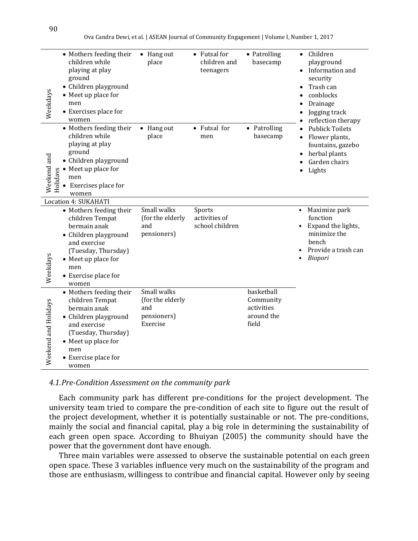Ova Candra Dewi, et al. | ASEAN Journal of Community Engagement | Volume I, Number 1, 2017

| Weekdays                 | • Mothers feeding their<br>children while<br>playing at play<br>ground<br>• Children playground<br>• Meet up place for<br>men<br>• Exercises place for<br>women                                                   | $\bullet$ Hang out<br>place                                       | • Futsal for<br>children and<br>teenagers  | • Patrolling<br>basecamp                                     | Children<br>$\bullet$<br>playground<br>Information and<br>security<br>Trash can<br>conblocks<br>Drainage<br>Jogging track<br>reflection therapy                                                                                                                                                                                                                                                                                                                                                                                                                                                                                                                                                                                                           |
|--------------------------|-------------------------------------------------------------------------------------------------------------------------------------------------------------------------------------------------------------------|-------------------------------------------------------------------|--------------------------------------------|--------------------------------------------------------------|-----------------------------------------------------------------------------------------------------------------------------------------------------------------------------------------------------------------------------------------------------------------------------------------------------------------------------------------------------------------------------------------------------------------------------------------------------------------------------------------------------------------------------------------------------------------------------------------------------------------------------------------------------------------------------------------------------------------------------------------------------------|
| Weekend and<br>Holidavs  | • Mothers feeding their<br>children while<br>playing at play<br>ground<br>• Children playground<br>• Meet up place for<br>men<br>Exercises place for<br>women                                                     | • Hang out<br>place                                               | • Futsal for<br>men                        | • Patrolling<br>basecamp                                     | <b>Publick Toilets</b><br>$\bullet$<br>Flower plants,<br>fountains, gazebo<br>herbal plants<br>Garden chairs<br>Lights                                                                                                                                                                                                                                                                                                                                                                                                                                                                                                                                                                                                                                    |
| Weekdays                 | Location 4: SUKAHATI<br>• Mothers feeding their<br>children Tempat<br>bermain anak<br>• Children playground<br>and exercise<br>(Tuesday, Thursday)<br>• Meet up place for<br>men<br>• Exercise place for<br>women | Small walks<br>(for the elderly<br>and<br>pensioners)             | Sports<br>activities of<br>school children |                                                              | Maximize park<br>$\bullet$<br>function<br>Expand the lights,<br>minimize the<br>bench<br>Provide a trash can<br>Biopori                                                                                                                                                                                                                                                                                                                                                                                                                                                                                                                                                                                                                                   |
| ekend and Holidays<br>We | • Mothers feeding their<br>children Tempat<br>bermain anak<br>• Children playground<br>and exercise<br>(Tuesday, Thursday)<br>• Meet up place for<br>men<br>• Exercise place for<br>women                         | Small walks<br>(for the elderly<br>and<br>pensioners)<br>Exercise |                                            | basketball<br>Community<br>activities<br>around the<br>field |                                                                                                                                                                                                                                                                                                                                                                                                                                                                                                                                                                                                                                                                                                                                                           |
|                          | 4.1. Pre-Condition Assessment on the community park<br>power that the government dont have enough.                                                                                                                |                                                                   |                                            |                                                              | Each community park has different pre-conditions for the project development. The<br>university team tried to compare the pre-condition of each site to figure out the result of<br>the project development, whether it is potentially sustainable or not. The pre-conditions,<br>mainly the social and financial capital, play a big role in determining the sustainability of<br>each green open space. According to Bhuiyan (2005) the community should have the<br>Three main variables were assessed to observe the sustainable potential on each green<br>open space. These 3 variables influence very much on the sustainability of the program and<br>those are enthusiasm, willingess to contribue and financial capital. However only by seeing |

### *4.1.Pre-Condition Assessment on the community park*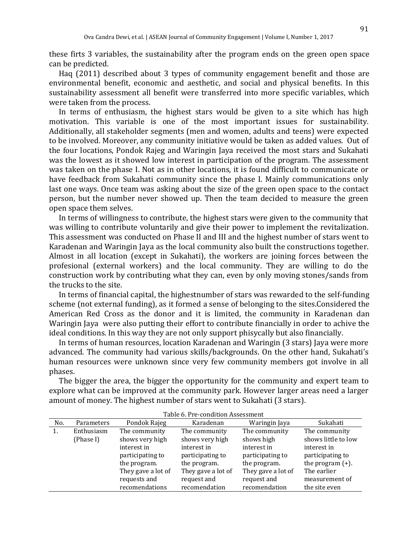these firts 3 variables, the sustainability after the program ends on the green open space can be predicted.

Haq (2011) described about 3 types of community engagement benefit and those are environmental benefit, economic and aesthetic, and social and physical benefits. In this sustainability assessment all benefit were transferred into more specific variables, which were taken from the process.

In terms of enthusiasm, the highest stars would be given to a site which has high motivation. This variable is one of the most important issues for sustainability. Additionally, all stakeholder segments (men and women, adults and teens) were expected to be involved. Moreover, any community initiative would be taken as added values. Out of the four locations, Pondok Rajeg and Waringin Jaya received the most stars and Sukahati was the lowest as it showed low interest in participation of the program. The assessment was taken on the phase I. Not as in other locations, it is found difficult to communicate or have feedback from Sukahati community since the phase I. Mainly communications only last one ways. Once team was asking about the size of the green open space to the contact person, but the number never showed up. Then the team decided to measure the green open space them selves.

In terms of willingness to contribute, the highest stars were given to the community that was willing to contribute voluntarily and give their power to implement the revitalization. This assessment was conducted on Phase II and III and the highest number of stars went to Karadenan and Waringin Jaya as the local community also built the constructions together. Almost in all location (except in Sukahati), the workers are joining forces between the profesional (external workers) and the local community. They are willing to do the construction work by contributing what they can, even by only moving stones/sands from the trucks to the site.

In terms of financial capital, the highestnumber of stars was rewarded to the self-funding scheme (not external funding), as it formed a sense of belonging to the sites.Considered the American Red Cross as the donor and it is limited, the community in Karadenan dan Waringin Jaya were also putting their effort to contribute financially in order to achive the ideal conditions. In this way they are not only support phisycally but also financially.

In terms of human resources, location Karadenan and Waringin (3 stars) Jaya were more advanced. The community had various skills/backgrounds. On the other hand, Sukahati's human resources were unknown since very few community members got involve in all phases.

The bigger the area, the bigger the opportunity for the community and expert team to explore what can be improved at the community park. However larger areas need a larger amount of money. The highest number of stars went to Sukahati (3 stars).

| No. | Parameters | Pondok Rajeg       | Karadenan          | Waringin Jaya      | Sukahati            |
|-----|------------|--------------------|--------------------|--------------------|---------------------|
|     | Enthusiasm | The community      | The community      | The community      | The community       |
|     | (Phase I)  | shows very high    | shows very high    | shows high         | shows little to low |
|     |            | interest in        | interest in        | interest in        | interest in         |
|     |            | participating to   | participating to   | participating to   | participating to    |
|     |            | the program.       | the program.       | the program.       | the program $(+)$ . |
|     |            | They gave a lot of | They gave a lot of | They gave a lot of | The earlier         |
|     |            | requests and       | request and        | request and        | measurement of      |
|     |            | recomendations     | recomendation      | recomendation      | the site even       |

Table 6. Pre-condition Assessment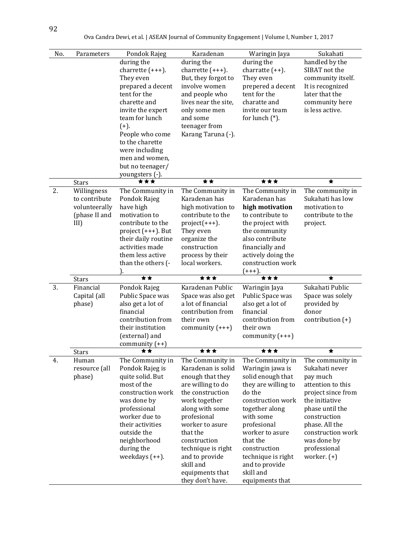| No. | Parameters            | Pondok Rajeg                        | Karadenan                             | Waringin Jaya                            | Sukahati                           |
|-----|-----------------------|-------------------------------------|---------------------------------------|------------------------------------------|------------------------------------|
|     |                       | during the                          | during the                            | during the                               | handled by the                     |
|     |                       | charrette $(+++)$ .                 | charrette $(+++)$ .                   | charratte $(++)$ .                       | SIBAT not the                      |
|     |                       | They even                           | But, they forgot to                   | They even                                | community itself.                  |
|     |                       | prepared a decent                   | involve women                         | prepered a decent                        | It is recognized                   |
|     |                       | tent for the                        | and people who                        | tent for the                             | later that the                     |
|     |                       | charette and                        | lives near the site,                  | charatte and                             | community here                     |
|     |                       | invite the expert                   | only some men                         | invite our team                          | is less active.                    |
|     |                       | team for lunch                      | and some                              | for lunch $(*)$ .                        |                                    |
|     |                       | $(+).$                              | teenager from                         |                                          |                                    |
|     |                       | People who come                     | Karang Taruna (-).                    |                                          |                                    |
|     |                       | to the charette                     |                                       |                                          |                                    |
|     |                       | were including                      |                                       |                                          |                                    |
|     |                       | men and women,                      |                                       |                                          |                                    |
|     |                       | but no teenager/                    |                                       |                                          |                                    |
|     |                       | youngsters (-).                     |                                       |                                          |                                    |
|     | <b>Stars</b>          | ***                                 | **                                    | ***                                      | ★                                  |
| 2.  | Willingness           | The Community in                    | The Community in                      | The Community in                         | The community in                   |
|     | to contribute         | Pondok Rajeg                        | Karadenan has                         | Karadenan has                            | Sukahati has low                   |
|     | volunteerally         | have high                           | high motivation to                    | high motivation                          | motivation to                      |
|     | (phase II and         | motivation to                       | contribute to the                     | to contribute to                         | contribute to the                  |
|     | III                   | contribute to the                   | $project(+++)$ .                      | the project with                         | project.                           |
|     |                       | project $(+++)$ . But               | They even                             | the community                            |                                    |
|     |                       | their daily routine                 | organize the                          | also contribute                          |                                    |
|     |                       | activities made                     | construction                          | financially and                          |                                    |
|     |                       | them less active                    | process by their                      | actively doing the                       |                                    |
|     |                       | than the others (-                  | local workers.                        | construction work                        |                                    |
|     |                       |                                     |                                       |                                          |                                    |
|     |                       |                                     |                                       | $(+++)$ .                                |                                    |
|     | <b>Stars</b>          | **                                  | ***                                   | ***                                      | ★                                  |
| 3.  | Financial             | Pondok Rajeg                        | Karadenan Public                      | Waringin Jaya                            | Sukahati Public                    |
|     | Capital (all          | Public Space was                    | Space was also get                    | Public Space was                         | Space was solely                   |
|     | phase)                | also get a lot of                   | a lot of financial                    | also get a lot of                        | provided by                        |
|     |                       | financial                           | contribution from                     | financial                                | donor                              |
|     |                       | contribution from                   | their own                             | contribution from                        | contribution $(+)$                 |
|     |                       | their institution                   | community $(+++)$                     | their own                                |                                    |
|     |                       | (external) and                      |                                       | community $(+++)$                        |                                    |
|     |                       | community $(++)$<br>★ ★             | ***                                   | ***                                      | ★                                  |
| 4.  | <b>Stars</b><br>Human |                                     | The Community in                      | The Community in                         |                                    |
|     | resource (all         | The Community in<br>Pondok Rajeg is | Karadenan is solid                    | Waringin jawa is                         | The community in<br>Sukahati never |
|     | phase)                |                                     |                                       |                                          | pay much                           |
|     |                       | quite solid. But<br>most of the     | enough that they                      | solid enough that<br>they are willing to | attention to this                  |
|     |                       | construction work                   | are willing to do<br>the construction | do the                                   | project since from                 |
|     |                       | was done by                         | work together                         | construction work                        | the initiative                     |
|     |                       | professional                        |                                       | together along                           | phase until the                    |
|     |                       | worker due to                       | along with some<br>profesional        | with some                                | construction                       |
|     |                       | their activities                    | worker to asure                       | profesional                              | phase. All the                     |
|     |                       | outside the                         | that the                              | worker to asure                          | construction work                  |
|     |                       | neighborhood                        | construction                          | that the                                 | was done by                        |
|     |                       | during the                          | technique is right                    | construction                             | professional                       |
|     |                       | weekdays $(++)$ .                   | and to provide                        | technique is right                       | worker. $(+)$                      |
|     |                       |                                     | skill and                             | and to provide                           |                                    |
|     |                       |                                     | equipments that<br>they don't have.   | skill and                                |                                    |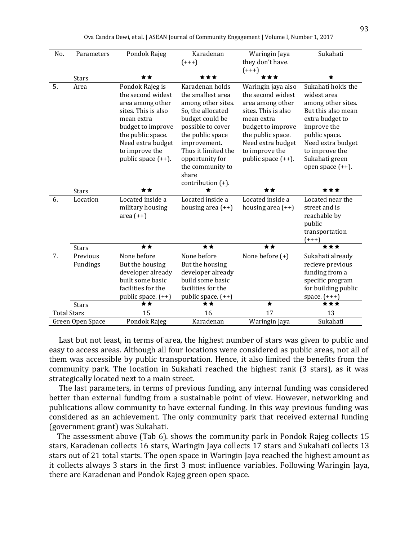|  | Ova Candra Dewi, et al.   ASEAN Journal of Community Engagement   Volume I, Number 1, 2017 |  |
|--|--------------------------------------------------------------------------------------------|--|
|  |                                                                                            |  |

| No.                | Parameters       | Pondok Rajeg          | Karadenan            | Waringin Jaya         | Sukahati            |
|--------------------|------------------|-----------------------|----------------------|-----------------------|---------------------|
|                    |                  |                       | $(+++)$              | they don't have.      |                     |
|                    |                  |                       |                      | (+++)                 |                     |
|                    | <b>Stars</b>     | **                    | ***                  | ***                   |                     |
| 5.                 | Area             | Pondok Rajeg is       | Karadenan holds      | Waringin jaya also    | Sukahati holds the  |
|                    |                  | the second widest     | the smallest area    | the second widest     | widest area         |
|                    |                  | area among other      | among other sites.   | area among other      | among other sites.  |
|                    |                  | sites. This is also   | So, the allocated    | sites. This is also   | But this also mean  |
|                    |                  | mean extra            | budget could be      | mean extra            | extra budget to     |
|                    |                  | budget to improve     | possible to cover    | budget to improve     | improve the         |
|                    |                  | the public space.     | the public space     | the public space.     | public space.       |
|                    |                  | Need extra budget     | improvement.         | Need extra budget     | Need extra budget   |
|                    |                  | to improve the        | Thus it limited the  | to improve the        | to improve the      |
|                    |                  | public space $(++)$ . | opportunity for      | public space $(++)$ . | Sukahati green      |
|                    |                  |                       | the community to     |                       | open space (++).    |
|                    |                  |                       | share                |                       |                     |
|                    |                  |                       | contribution $(+)$ . |                       |                     |
|                    |                  |                       |                      |                       |                     |
|                    | <b>Stars</b>     | **                    |                      | **                    | ***                 |
| 6.                 | Location         | Located inside a      | Located inside a     | Located inside a      | Located near the    |
|                    |                  | military housing      | housing area $(++)$  | housing area $(++)$   | street and is       |
|                    |                  | area $(++)$           |                      |                       | reachable by        |
|                    |                  |                       |                      |                       | public              |
|                    |                  |                       |                      |                       | transportation      |
|                    |                  |                       |                      |                       | $(+++)$             |
|                    | <b>Stars</b>     | **                    | **                   | **                    | ***                 |
| 7.                 | Previous         | None before           | None before          | None before $(+)$     | Sukahati already    |
|                    | Fundings         | But the housing       | But the housing      |                       | recieve previous    |
|                    |                  | developer already     | developer already    |                       | funding from a      |
|                    |                  | built some basic      | build some basic     |                       | specific program    |
|                    |                  | facilities for the    | facilities for the   |                       | for building public |
|                    |                  | public space. $(++)$  | public space. (++)   |                       | space. $(+++)$      |
|                    | <b>Stars</b>     | **                    | **                   | $\star$               | ***                 |
| <b>Total Stars</b> | Green Open Space | 15<br>Pondok Rajeg    | 16<br>Karadenan      | 17<br>Waringin Jaya   | 13<br>Sukahati      |

Last but not least, in terms of area, the highest number of stars was given to public and easy to access areas. Although all four locations were considered as public areas, not all of them was accessible by public transportation. Hence, it also limited the benefits from the community park. The location in Sukahati reached the highest rank (3 stars), as it was strategically located next to a main street.

The last parameters, in terms of previous funding, any internal funding was considered better than external funding from a sustainable point of view. However, networking and publications allow community to have external funding. In this way previous funding was considered as an achievement. The only community park that received external funding (government grant) was Sukahati.

The assessment above (Tab 6). shows the community park in Pondok Rajeg collects 15 stars, Karadenan collects 16 stars, Waringin Jaya collects 17 stars and Sukahati collects 13 stars out of 21 total starts. The open space in Waringin Jaya reached the highest amount as it collects always 3 stars in the first 3 most influence variables. Following Waringin Jaya, there are Karadenan and Pondok Rajeg green open space.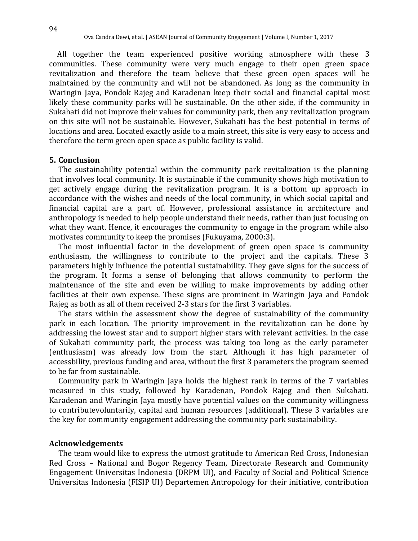All together the team experienced positive working atmosphere with these 3 communities. These community were very much engage to their open green space revitalization and therefore the team believe that these green open spaces will be maintained by the community and will not be abandoned. As long as the community in Waringin Jaya, Pondok Rajeg and Karadenan keep their social and financial capital most likely these community parks will be sustainable. On the other side, if the community in Sukahati did not improve their values for community park, then any revitalization program on this site will not be sustainable. However, Sukahati has the best potential in terms of locations and area. Located exactly aside to a main street, this site is very easy to access and therefore the term green open space as public facility is valid.

#### **5. Conclusion**

The sustainability potential within the community park revitalization is the planning that involves local community. It is sustainable if the community shows high motivation to get actively engage during the revitalization program. It is a bottom up approach in accordance with the wishes and needs of the local community, in which social capital and financial capital are a part of. However, professional assistance in architecture and anthropology is needed to help people understand their needs, rather than just focusing on what they want. Hence, it encourages the community to engage in the program while also motivates community to keep the promises (Fukuyama, 2000:3).

The most influential factor in the development of green open space is community enthusiasm, the willingness to contribute to the project and the capitals. These 3 parameters highly influence the potential sustainability. They gave signs for the success of the program. It forms a sense of belonging that allows community to perform the maintenance of the site and even be willing to make improvements by adding other facilities at their own expense. These signs are prominent in Waringin Jaya and Pondok Rajeg as both as all of them received 2-3 stars for the first 3 variables.

The stars within the assessment show the degree of sustainability of the community park in each location. The priority improvement in the revitalization can be done by addressing the lowest star and to support higher stars with relevant activities. In the case of Sukahati community park, the process was taking too long as the early parameter (enthusiasm) was already low from the start. Although it has high parameter of accessbility, previous funding and area, without the first 3 parameters the program seemed to be far from sustainable.

Community park in Waringin Jaya holds the highest rank in terms of the 7 variables measured in this study, followed by Karadenan, Pondok Rajeg and then Sukahati. Karadenan and Waringin Jaya mostly have potential values on the community willingness to contributevoluntarily, capital and human resources (additional). These 3 variables are the key for community engagement addressing the community park sustainability.

### **Acknowledgements**

The team would like to express the utmost gratitude to American Red Cross, Indonesian Red Cross – National and Bogor Regency Team, Directorate Research and Community Engagement Universitas Indonesia (DRPM UI), and Faculty of Social and Political Science Universitas Indonesia (FISIP UI) Departemen Antropology for their initiative, contribution